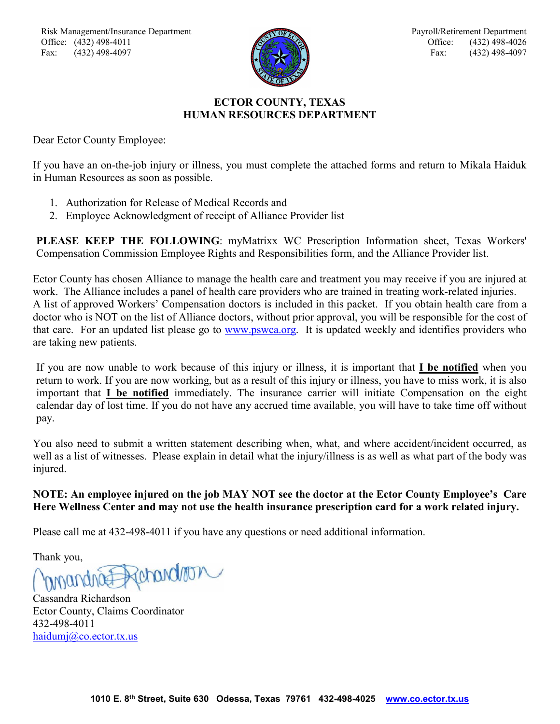

## **ECTOR COUNTY, TEXAS HUMAN RESOURCES DEPARTMENT**

Dear Ector County Employee:

If you have an on-the-job injury or illness, you must complete the attached forms and return to Mikala Haiduk in Human Resources as soon as possible.

- 1. Authorization for Release of Medical Records and
- 2. Employee Acknowledgment of receipt of Alliance Provider list

**PLEASE KEEP THE FOLLOWING**: myMatrixx WC Prescription Information sheet, Texas Workers' Compensation Commission Employee Rights and Responsibilities form, and the Alliance Provider list.

Ector County has chosen Alliance to manage the health care and treatment you may receive if you are injured at work. The Alliance includes a panel of health care providers who are trained in treating work-related injuries. A list of approved Workers' Compensation doctors is included in this packet. If you obtain health care from a doctor who is NOT on the list of Alliance doctors, without prior approval, you will be responsible for the cost of that care. For an updated list please go to [www.pswca.org.](http://www.pswca.org/) It is updated weekly and identifies providers who are taking new patients.

If you are now unable to work because of this injury or illness, it is important that **I be notified** when you return to work. If you are now working, but as a result of this injury or illness, you have to miss work, it is also important that **I be notified** immediately. The insurance carrier will initiate Compensation on the eight calendar day of lost time. If you do not have any accrued time available, you will have to take time off without pay.

You also need to submit a written statement describing when, what, and where accident/incident occurred, as well as a list of witnesses. Please explain in detail what the injury/illness is as well as what part of the body was injured.

## **NOTE: An employee injured on the job MAY NOT see the doctor at the Ector County Employee's Care Here Wellness Center and may not use the health insurance prescription card for a work related injury.**

Please call me at 432-498-4011 if you have any questions or need additional information.

Thank you,

Rehandron

Cassandra Richardson Ector County, Claims Coordinator 432-498-4011 [haidumj@co.ector.tx.us](mailto:haidumj@co.ector.tx.us)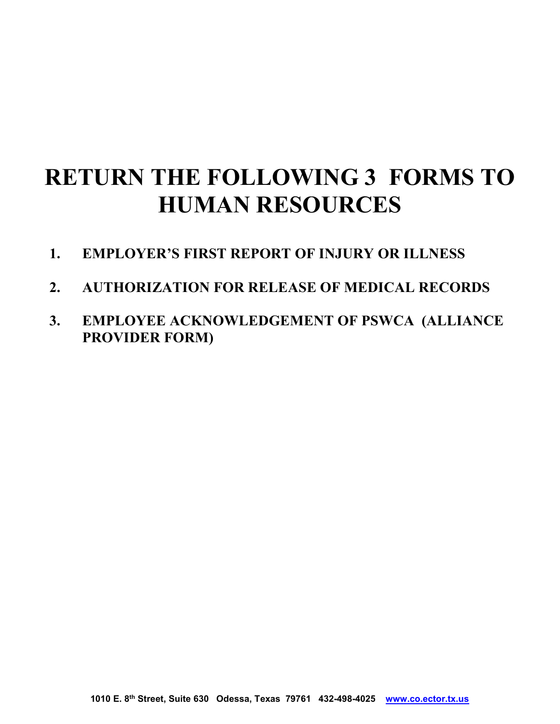# **RETURN THE FOLLOWING 3 FORMS TO HUMAN RESOURCES**

- **1. EMPLOYER'S FIRST REPORT OF INJURY OR ILLNESS**
- **2. AUTHORIZATION FOR RELEASE OF MEDICAL RECORDS**
- **3. EMPLOYEE ACKNOWLEDGEMENT OF PSWCA (ALLIANCE PROVIDER FORM)**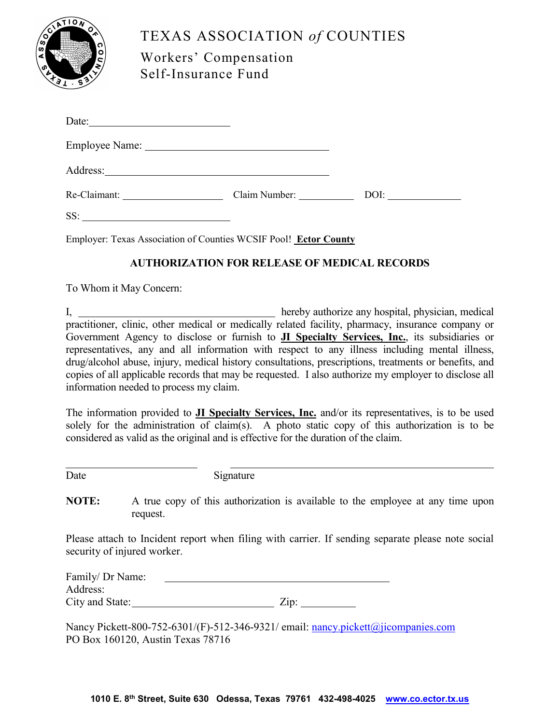

## TEXAS ASSOCIATION *of* COUNTIES

Workers' Compensation Self-Insurance Fund

|     | Claim Number: |  |
|-----|---------------|--|
| SS: |               |  |

Employer: Texas Association of Counties WCSIF Pool! **Ector County**

## **AUTHORIZATION FOR RELEASE OF MEDICAL RECORDS**

To Whom it May Concern:

I, hereby authorize any hospital, physician, medical practitioner, clinic, other medical or medically related facility, pharmacy, insurance company or Government Agency to disclose or furnish to **JI Specialty Services, Inc.**, its subsidiaries or representatives, any and all information with respect to any illness including mental illness, drug/alcohol abuse, injury, medical history consultations, prescriptions, treatments or benefits, and copies of all applicable records that may be requested. I also authorize my employer to disclose all information needed to process my claim.

The information provided to **JI Specialty Services, Inc.** and/or its representatives, is to be used solely for the administration of claim(s). A photo static copy of this authorization is to be considered as valid as the original and is effective for the duration of the claim.

Date Signature

**NOTE:** A true copy of this authorization is available to the employee at any time upon request.

Please attach to Incident report when filing with carrier. If sending separate please note social security of injured worker.

| Family/ Dr Name: |                 |
|------------------|-----------------|
| Address:         |                 |
| City and State:  | $\mathrm{Zip:}$ |

Nancy Pickett-800-752-6301/(F)-512-346-9321/ email: [nancy.pickett@jicompanies.com](mailto:nancy.pickett@jicompanies.com) PO Box 160120, Austin Texas 78716